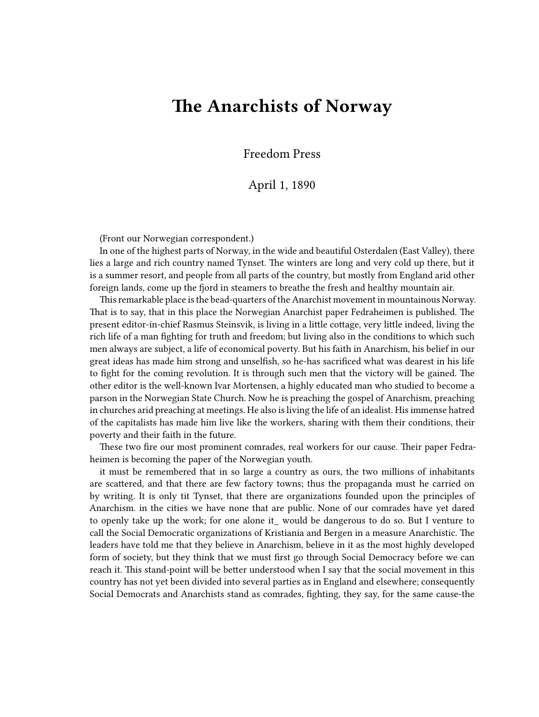## **The Anarchists of Norway**

Freedom Press

## April 1, 1890

(Front our Norwegian correspondent.)

In one of the highest parts of Norway, in the wide and beautiful Osterdalen (East Valley), there lies a large and rich country named Tynset. The winters are long and very cold up there, but it is a summer resort, and people from all parts of the country, but mostly from England arid other foreign lands, come up the fjord in steamers to breathe the fresh and healthy mountain air.

This remarkable place is the bead-quarters of the Anarchist movement in mountainous Norway. That is to say, that in this place the Norwegian Anarchist paper Fedraheimen is published. The present editor-in-chief Rasmus Steinsvik, is living in a little cottage, very little indeed, living the rich life of a man fighting for truth and freedom; but living also in the conditions to which such men always are subject, a life of economical poverty. But his faith in Anarchism, his belief in our great ideas has made him strong and unselfish, so he-has sacrificed what was dearest in his life to fight for the coming revolution. It is through such men that the victory will be gained. The other editor is the well-known Ivar Mortensen, a highly educated man who studied to become a parson in the Norwegian State Church. Now he is preaching the gospel of Anarchism, preaching in churches arid preaching at meetings. He also is living the life of an idealist. His immense hatred of the capitalists has made him live like the workers, sharing with them their conditions, their poverty and their faith in the future.

These two fire our most prominent comrades, real workers for our cause. Their paper Fedraheimen is becoming the paper of the Norwegian youth.

it must be remembered that in so large a country as ours, the two millions of inhabitants are scattered, and that there are few factory towns; thus the propaganda must he carried on by writing. It is only tit Tynset, that there are organizations founded upon the principles of Anarchism. in the cities we have none that are public. None of our comrades have yet dared to openly take up the work; for one alone it\_ would be dangerous to do so. But I venture to call the Social Democratic organizations of Kristiania and Bergen in a measure Anarchistic. The leaders have told me that they believe in Anarchism, believe in it as the most highly developed form of society, but they think that we must first go through Social Democracy before we can reach it. This stand-point will be better understood when I say that the social movement in this country has not yet been divided into several parties as in England and elsewhere; consequently Social Democrats and Anarchists stand as comrades, fighting, they say, for the same cause-the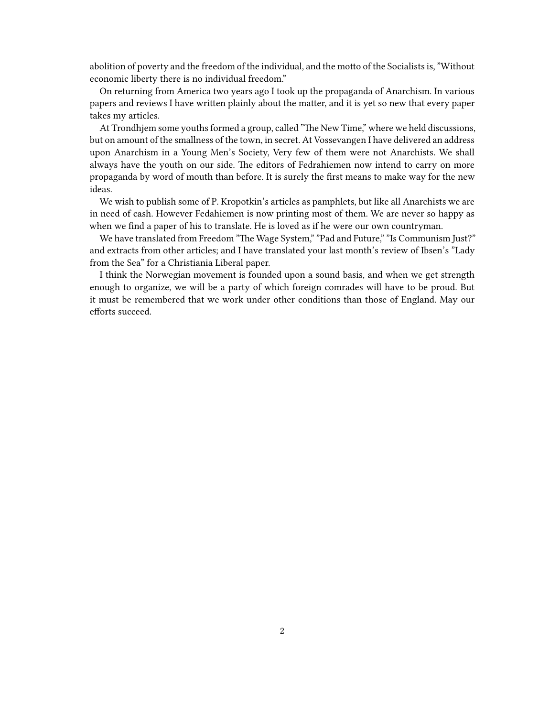abolition of poverty and the freedom of the individual, and the motto of the Socialists is, "Without economic liberty there is no individual freedom."

On returning from America two years ago I took up the propaganda of Anarchism. In various papers and reviews I have written plainly about the matter, and it is yet so new that every paper takes my articles.

At Trondhjem some youths formed a group, called "The New Time," where we held discussions, but on amount of the smallness of the town, in secret. At Vossevangen I have delivered an address upon Anarchism in a Young Men's Society, Very few of them were not Anarchists. We shall always have the youth on our side. The editors of Fedrahiemen now intend to carry on more propaganda by word of mouth than before. It is surely the first means to make way for the new ideas.

We wish to publish some of P. Kropotkin's articles as pamphlets, but like all Anarchists we are in need of cash. However Fedahiemen is now printing most of them. We are never so happy as when we find a paper of his to translate. He is loved as if he were our own countryman.

We have translated from Freedom "The Wage System," "Pad and Future," "Is Communism Just?" and extracts from other articles; and I have translated your last month's review of Ibsen's "Lady from the Sea" for a Christiania Liberal paper.

I think the Norwegian movement is founded upon a sound basis, and when we get strength enough to organize, we will be a party of which foreign comrades will have to be proud. But it must be remembered that we work under other conditions than those of England. May our efforts succeed.